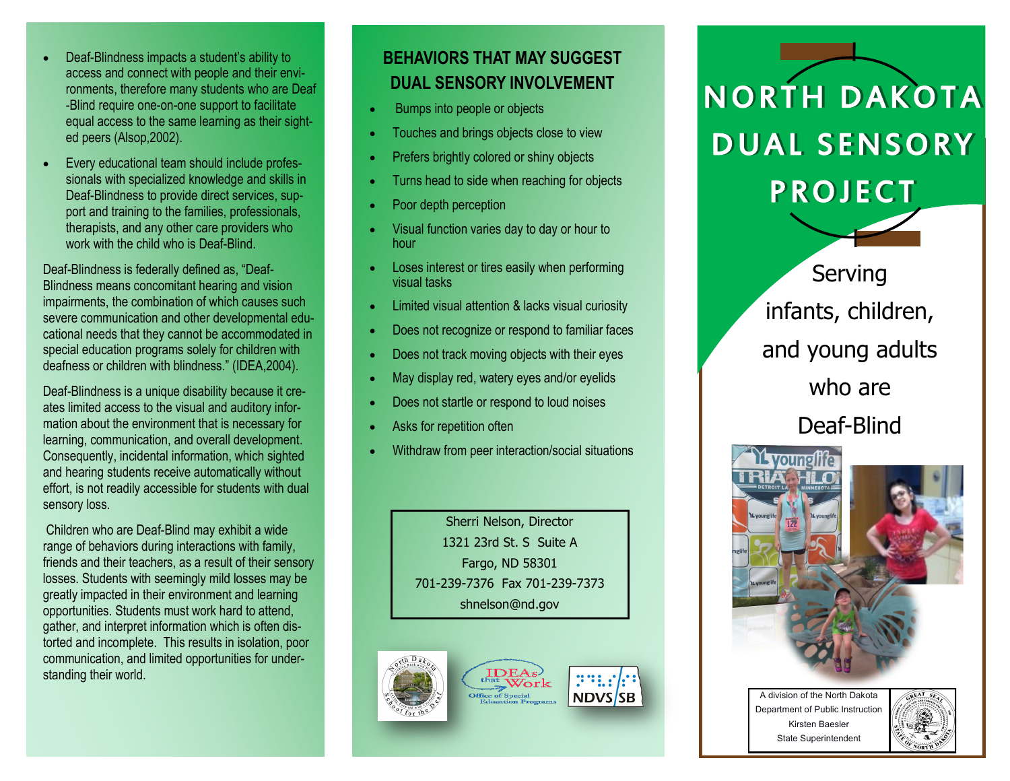- Deaf-Blindness impacts a student's ability to access and connect with people and their environments, therefore many students who are Deaf -Blind require one-on-one support to facilitate equal access to the same learning as their sighted peers (Alsop,2002).
- Every educational team should include professionals with specialized knowledge and skills in Deaf-Blindness to provide direct services, support and training to the families, professionals, therapists, and any other care providers who work with the child who is Deaf-Blind.

Deaf-Blindness is federally defined as, "Deaf-Blindness means concomitant hearing and vision impairments, the combination of which causes such severe communication and other developmental educational needs that they cannot be accommodated in special education programs solely for children with deafness or children with blindness." (IDEA,2004).

Deaf-Blindness is a unique disability because it creates limited access to the visual and auditory information about the environment that is necessary for learning, communication, and overall development. Consequently, incidental information, which sighted and hearing students receive automatically without effort, is not readily accessible for students with dual sensory loss.

Children who are Deaf-Blind may exhibit a wide range of behaviors during interactions with family, friends and their teachers, as a result of their sensory losses. Students with seemingly mild losses may be greatly impacted in their environment and learning opportunities. Students must work hard to attend, gather, and interpret information which is often distorted and incomplete. This results in isolation, poor communication, and limited opportunities for understanding their world.

#### **BEHAVIORS THAT MAY SUGGEST DUAL SENSORY INVOLVEMENT**

- Bumps into people or objects
- Touches and brings objects close to view
- Prefers brightly colored or shiny objects
- Turns head to side when reaching for objects
- Poor depth perception
- Visual function varies day to day or hour to hour
- Loses interest or tires easily when performing visual tasks
- Limited visual attention & lacks visual curiosity
- Does not recognize or respond to familiar faces
- Does not track moving objects with their eyes
- May display red, watery eyes and/or eyelids
- Does not startle or respond to loud noises
- Asks for repetition often
- Withdraw from peer interaction/social situations

Sherri Nelson, Director 1321 23rd St. S Suite A Fargo, ND 58301 701-239-7376 Fax 701-239-7373 shnelson@nd.gov



# i N O R T H D A K O T A DUAL SENSORY **PROJECT**



Serving infants, children, and young adults who are

Deaf-Blind